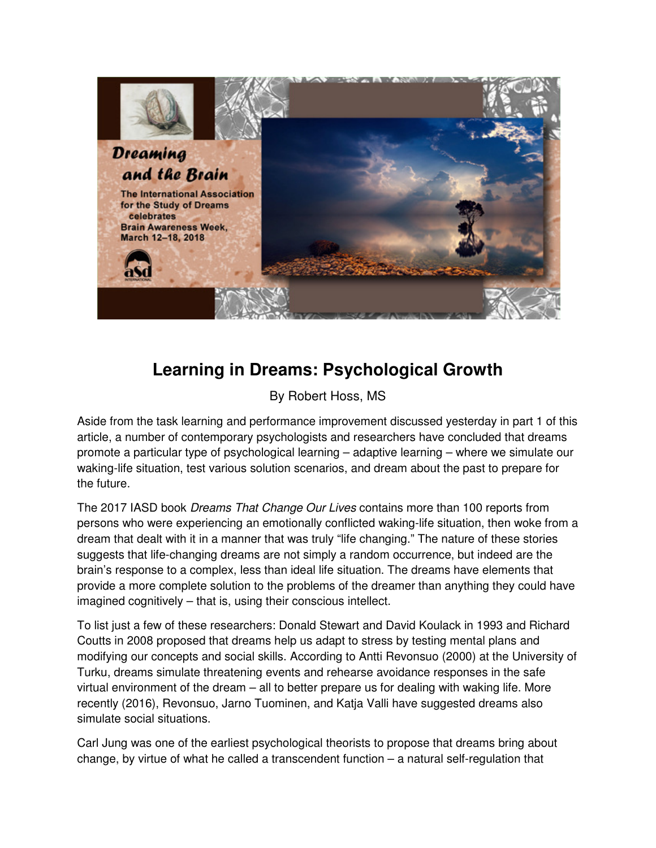

## **Learning in Dreams: Psychological Growth**

## By Robert Hoss, MS

Aside from the task learning and performance improvement discussed yesterday in part 1 of this article, a number of contemporary psychologists and researchers have concluded that dreams promote a particular type of psychological learning – adaptive learning – where we simulate our waking-life situation, test various solution scenarios, and dream about the past to prepare for the future.

The 2017 IASD book Dreams That Change Our Lives contains more than 100 reports from persons who were experiencing an emotionally conflicted waking-life situation, then woke from a dream that dealt with it in a manner that was truly "life changing." The nature of these stories suggests that life-changing dreams are not simply a random occurrence, but indeed are the brain's response to a complex, less than ideal life situation. The dreams have elements that provide a more complete solution to the problems of the dreamer than anything they could have imagined cognitively – that is, using their conscious intellect.

To list just a few of these researchers: Donald Stewart and David Koulack in 1993 and Richard Coutts in 2008 proposed that dreams help us adapt to stress by testing mental plans and modifying our concepts and social skills. According to Antti Revonsuo (2000) at the University of Turku, dreams simulate threatening events and rehearse avoidance responses in the safe virtual environment of the dream – all to better prepare us for dealing with waking life. More recently (2016), Revonsuo, Jarno Tuominen, and Katja Valli have suggested dreams also simulate social situations.

Carl Jung was one of the earliest psychological theorists to propose that dreams bring about change, by virtue of what he called a transcendent function – a natural self-regulation that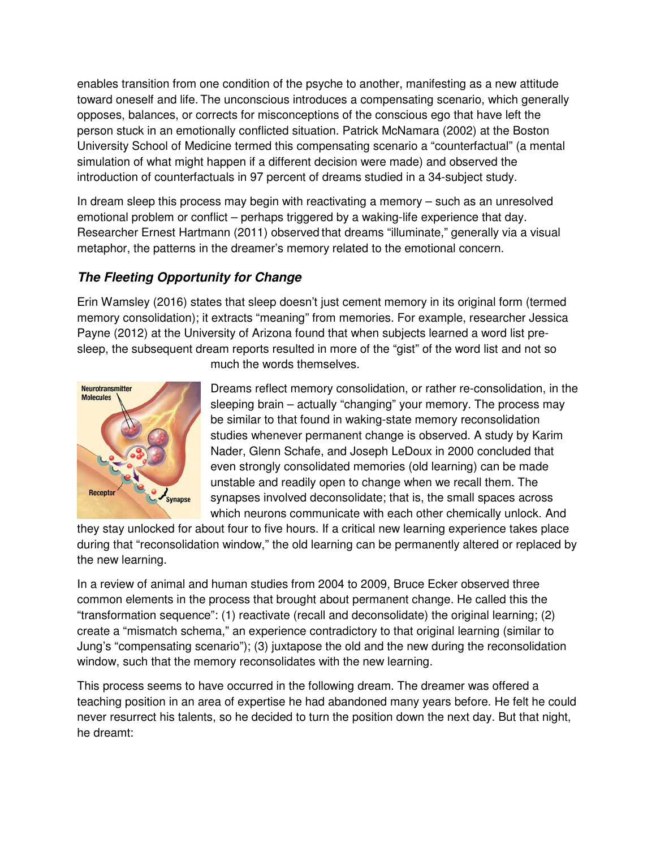enables transition from one condition of the psyche to another, manifesting as a new attitude toward oneself and life. The unconscious introduces a compensating scenario, which generally opposes, balances, or corrects for misconceptions of the conscious ego that have left the person stuck in an emotionally conflicted situation. Patrick McNamara (2002) at the Boston University School of Medicine termed this compensating scenario a "counterfactual" (a mental simulation of what might happen if a different decision were made) and observed the introduction of counterfactuals in 97 percent of dreams studied in a 34-subject study.

In dream sleep this process may begin with reactivating a memory – such as an unresolved emotional problem or conflict – perhaps triggered by a waking-life experience that day. Researcher Ernest Hartmann (2011) observed that dreams "illuminate," generally via a visual metaphor, the patterns in the dreamer's memory related to the emotional concern.

## **The Fleeting Opportunity for Change**

Erin Wamsley (2016) states that sleep doesn't just cement memory in its original form (termed memory consolidation); it extracts "meaning" from memories. For example, researcher Jessica Payne (2012) at the University of Arizona found that when subjects learned a word list presleep, the subsequent dream reports resulted in more of the "gist" of the word list and not so



much the words themselves.

Dreams reflect memory consolidation, or rather re-consolidation, in the sleeping brain – actually "changing" your memory. The process may be similar to that found in waking-state memory reconsolidation studies whenever permanent change is observed. A study by Karim Nader, Glenn Schafe, and Joseph LeDoux in 2000 concluded that even strongly consolidated memories (old learning) can be made unstable and readily open to change when we recall them. The synapses involved deconsolidate; that is, the small spaces across which neurons communicate with each other chemically unlock. And

they stay unlocked for about four to five hours. If a critical new learning experience takes place during that "reconsolidation window," the old learning can be permanently altered or replaced by the new learning.

In a review of animal and human studies from 2004 to 2009, Bruce Ecker observed three common elements in the process that brought about permanent change. He called this the "transformation sequence": (1) reactivate (recall and deconsolidate) the original learning; (2) create a "mismatch schema," an experience contradictory to that original learning (similar to Jung's "compensating scenario"); (3) juxtapose the old and the new during the reconsolidation window, such that the memory reconsolidates with the new learning.

This process seems to have occurred in the following dream. The dreamer was offered a teaching position in an area of expertise he had abandoned many years before. He felt he could never resurrect his talents, so he decided to turn the position down the next day. But that night, he dreamt: